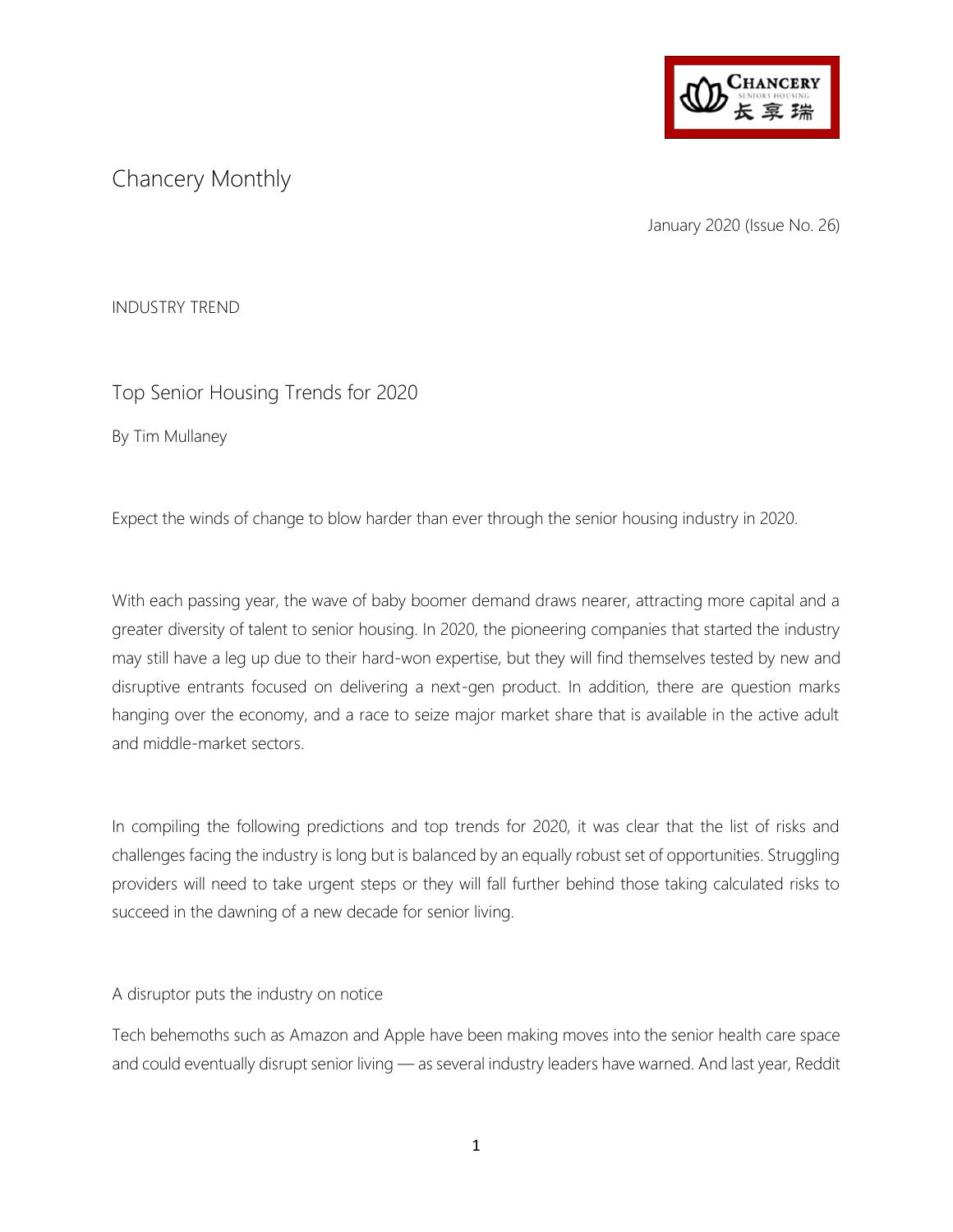

# Chancery Monthly

January 2020 (Issue No. 26)

INDUSTRY TREND

## Top Senior Housing Trends for 2020

By Tim Mullaney

Expect the winds of change to blow harder than ever through the senior housing industry in 2020.

With each passing year, the wave of baby boomer demand draws nearer, attracting more capital and a greater diversity of talent to senior housing. In 2020, the pioneering companies that started the industry may still have a leg up due to their hard-won expertise, but they will find themselves tested by new and disruptive entrants focused on delivering a next-gen product. In addition, there are question marks hanging over the economy, and a race to seize major market share that is available in the active adult and middle-market sectors.

In compiling the following predictions and top trends for 2020, it was clear that the list of risks and challenges facing the industry is long but is balanced by an equally robust set of opportunities. Struggling providers will need to take urgent steps or they will fall further behind those taking calculated risks to succeed in the dawning of a new decade for senior living.

A disruptor puts the industry on notice

Tech behemoths such as Amazon and Apple have been making moves into the senior health care space and could eventually disrupt senior living — as several industry leaders have warned. And last year, Reddit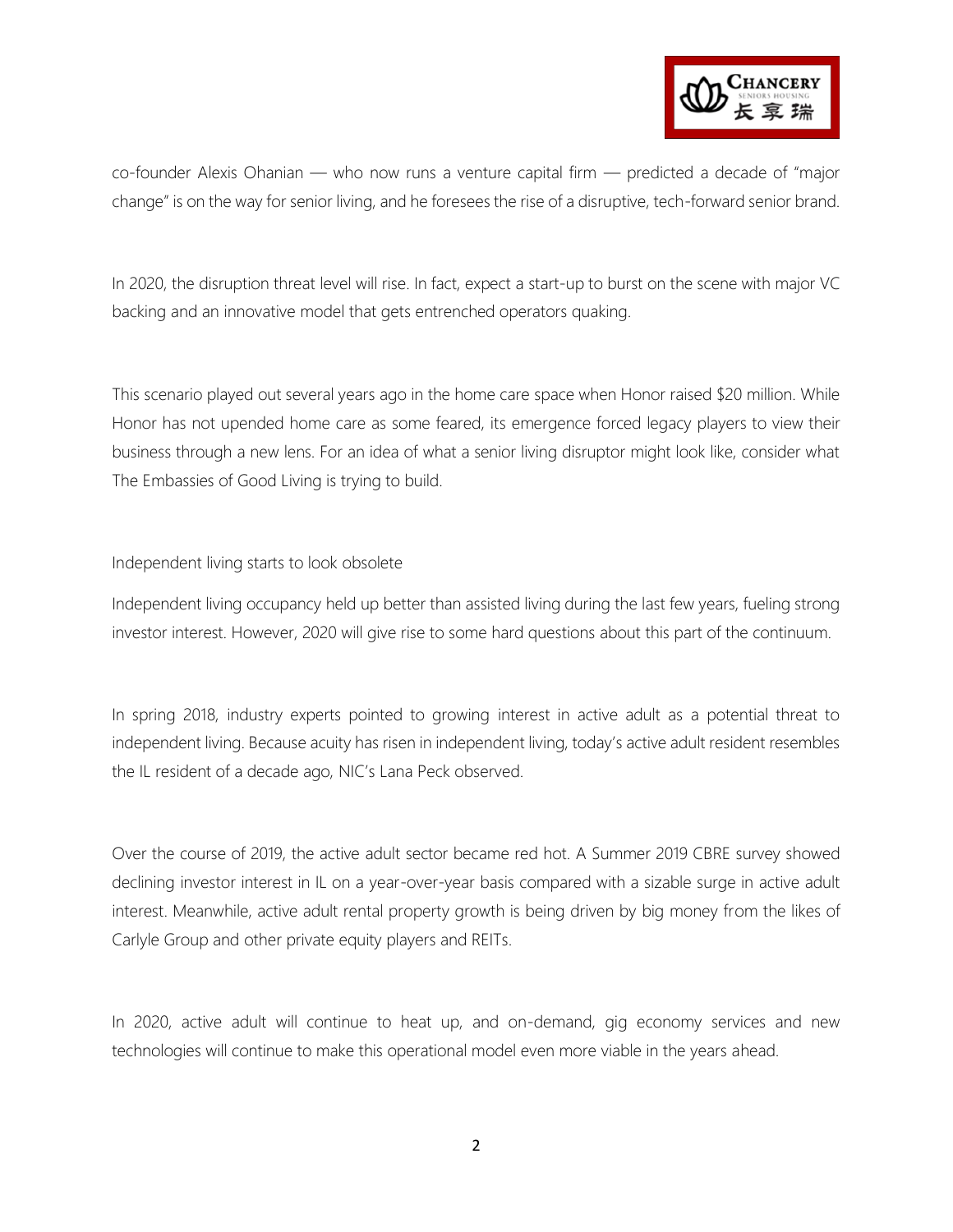

co-founder Alexis Ohanian — who now runs a venture capital firm — predicted a decade of "major change" is on the way for senior living, and he foresees the rise of a disruptive, tech-forward senior brand.

In 2020, the disruption threat level will rise. In fact, expect a start-up to burst on the scene with major VC backing and an innovative model that gets entrenched operators quaking.

This scenario played out several years ago in the home care space when Honor raised \$20 million. While Honor has not upended home care as some feared, its emergence forced legacy players to view their business through a new lens. For an idea of what a senior living disruptor might look like, consider what The Embassies of Good Living is trying to build.

Independent living starts to look obsolete

Independent living occupancy held up better than assisted living during the last few years, fueling strong investor interest. However, 2020 will give rise to some hard questions about this part of the continuum.

In spring 2018, industry experts pointed to growing interest in active adult as a potential threat to independent living. Because acuity has risen in independent living, today's active adult resident resembles the IL resident of a decade ago, NIC's Lana Peck observed.

Over the course of 2019, the active adult sector became red hot. A Summer 2019 CBRE survey showed declining investor interest in IL on a year-over-year basis compared with a sizable surge in active adult interest. Meanwhile, active adult rental property growth is being driven by big money from the likes of Carlyle Group and other private equity players and REITs.

In 2020, active adult will continue to heat up, and on-demand, gig economy services and new technologies will continue to make this operational model even more viable in the years ahead.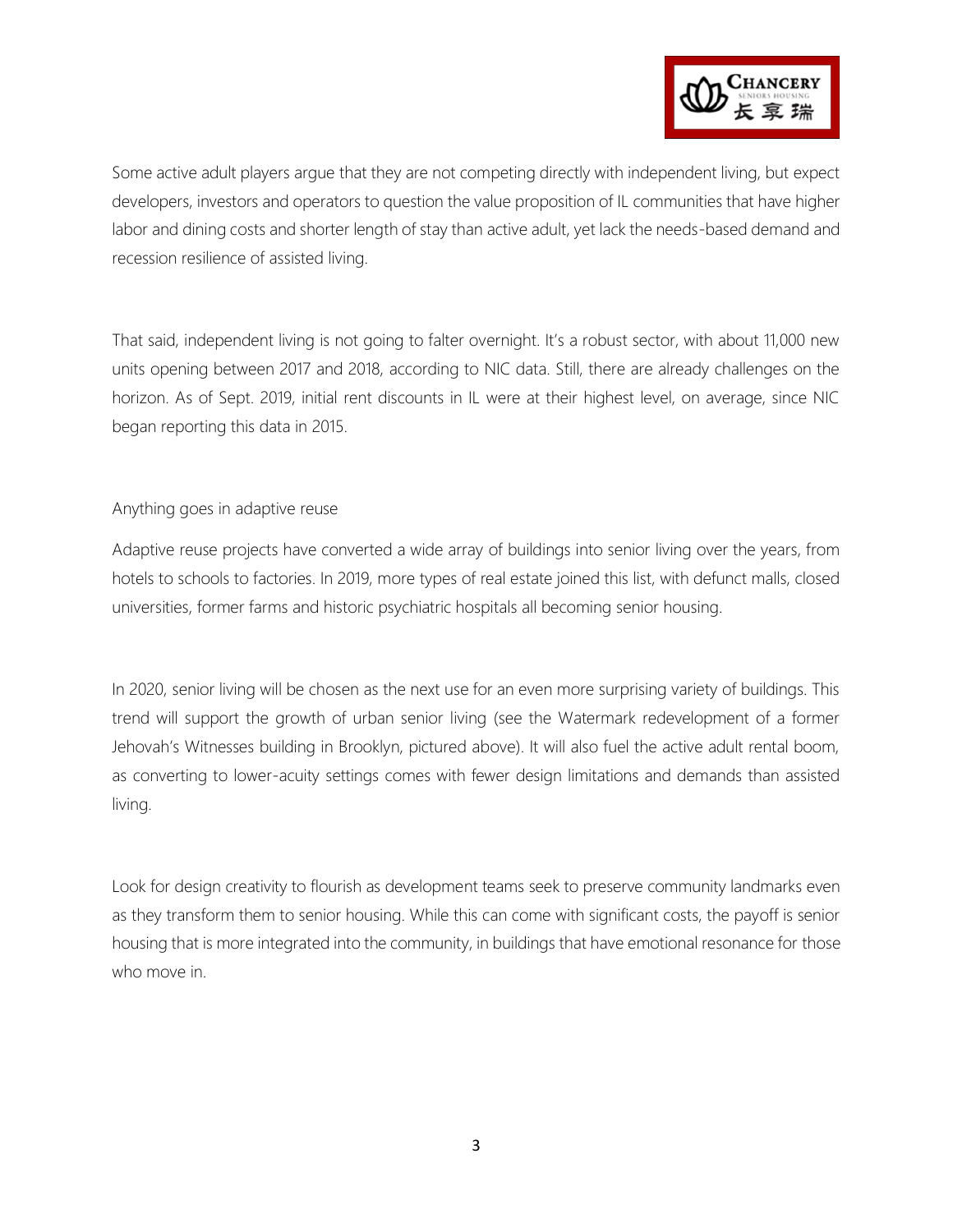

Some active adult players argue that they are not competing directly with independent living, but expect developers, investors and operators to question the value proposition of IL communities that have higher labor and dining costs and shorter length of stay than active adult, yet lack the needs-based demand and recession resilience of assisted living.

That said, independent living is not going to falter overnight. It's a robust sector, with about 11,000 new units opening between 2017 and 2018, according to NIC data. Still, there are already challenges on the horizon. As of Sept. 2019, initial rent discounts in IL were at their highest level, on average, since NIC began reporting this data in 2015.

Anything goes in adaptive reuse

Adaptive reuse projects have converted a wide array of buildings into senior living over the years, from hotels to schools to factories. In 2019, more types of real estate joined this list, with defunct malls, closed universities, former farms and historic psychiatric hospitals all becoming senior housing.

In 2020, senior living will be chosen as the next use for an even more surprising variety of buildings. This trend will support the growth of urban senior living (see the Watermark redevelopment of a former Jehovah's Witnesses building in Brooklyn, pictured above). It will also fuel the active adult rental boom, as converting to lower-acuity settings comes with fewer design limitations and demands than assisted living.

Look for design creativity to flourish as development teams seek to preserve community landmarks even as they transform them to senior housing. While this can come with significant costs, the payoff is senior housing that is more integrated into the community, in buildings that have emotional resonance for those who move in.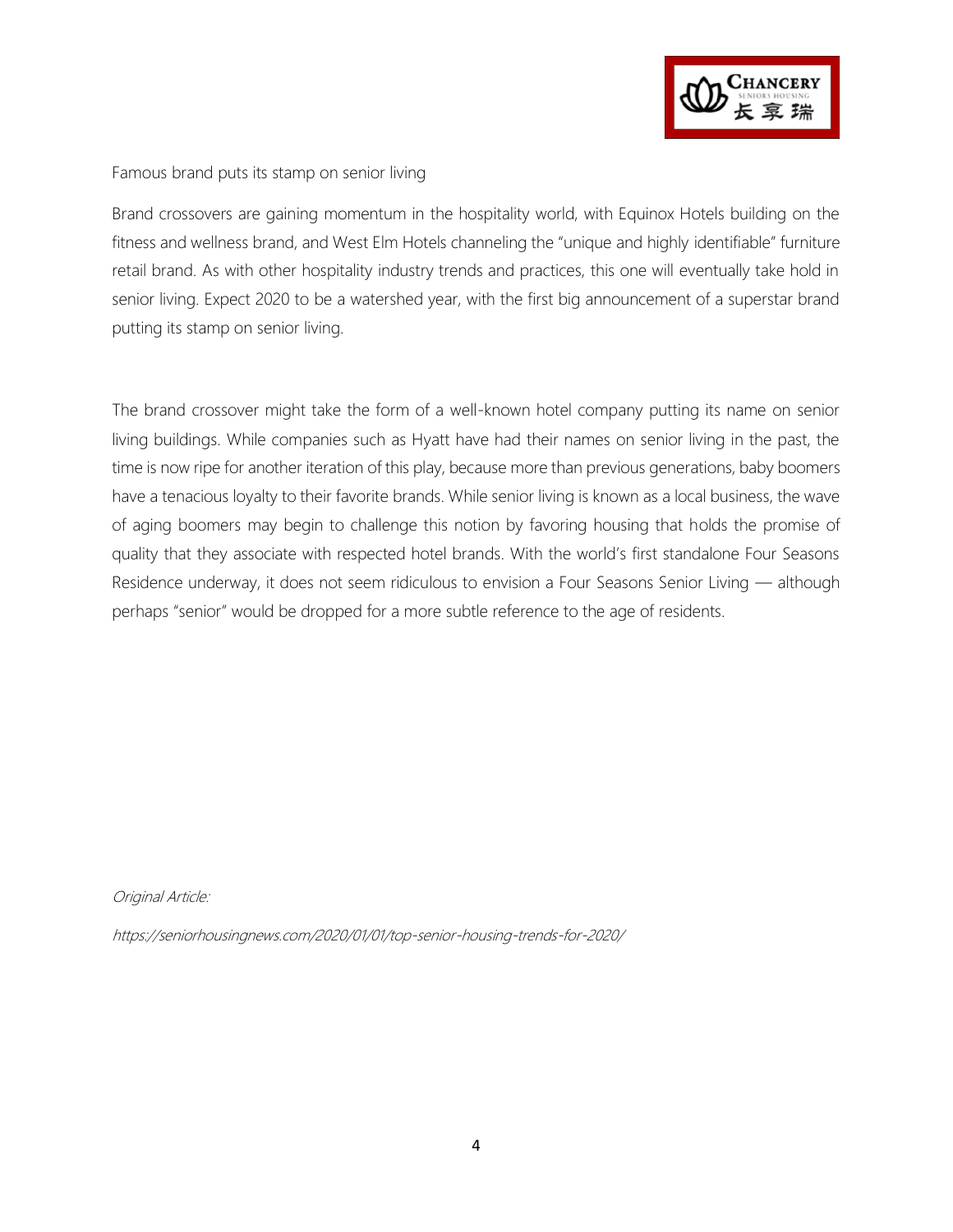

#### Famous brand puts its stamp on senior living

Brand crossovers are gaining momentum in the hospitality world, with Equinox Hotels building on the fitness and wellness brand, and West Elm Hotels channeling the "unique and highly identifiable" furniture retail brand. As with other hospitality industry trends and practices, this one will eventually take hold in senior living. Expect 2020 to be a watershed year, with the first big announcement of a superstar brand putting its stamp on senior living.

The brand crossover might take the form of a well-known hotel company putting its name on senior living buildings. While companies such as Hyatt have had their names on senior living in the past, the time is now ripe for another iteration of this play, because more than previous generations, baby boomers have a tenacious loyalty to their favorite brands. While senior living is known as a local business, the wave of aging boomers may begin to challenge this notion by favoring housing that holds the promise of quality that they associate with respected hotel brands. With the world's first standalone Four Seasons Residence underway, it does not seem ridiculous to envision a Four Seasons Senior Living — although perhaps "senior" would be dropped for a more subtle reference to the age of residents.

Original Article:

https://seniorhousingnews.com/2020/01/01/top-senior-housing-trends-for-2020/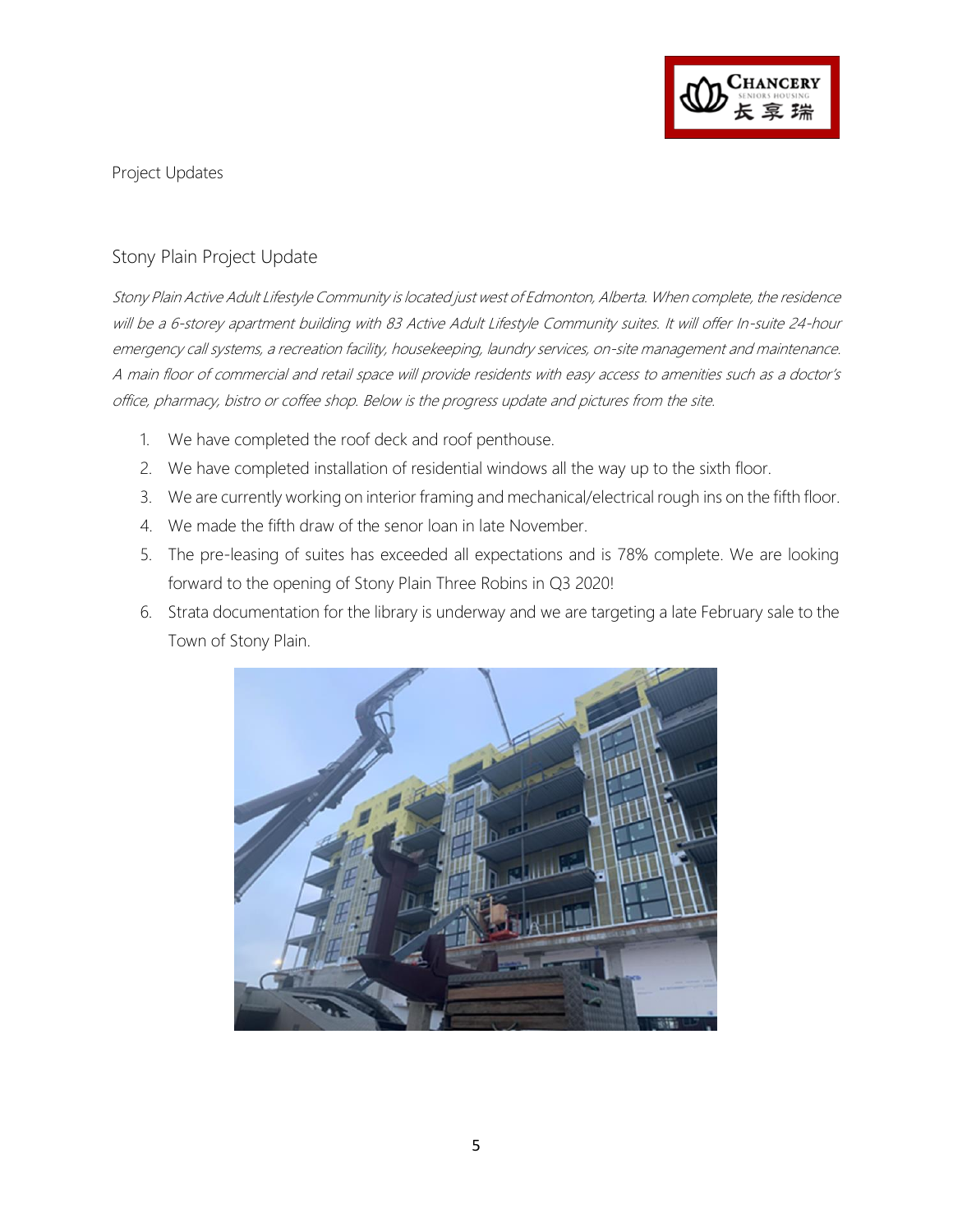

Project Updates

### Stony Plain Project Update

Stony Plain Active Adult Lifestyle Community is located just west of Edmonton, Alberta. When complete, the residence will be a 6-storey apartment building with 83 Active Adult Lifestyle Community suites. It will offer In-suite 24-hour emergency call systems, a recreation facility, housekeeping, laundry services, on-site management and maintenance. A main floor of commercial and retail space will provide residents with easy access to amenities such as a doctor's office, pharmacy, bistro or coffee shop. Below is the progress update and pictures from the site.

- 1. We have completed the roof deck and roof penthouse.
- 2. We have completed installation of residential windows all the way up to the sixth floor.
- 3. We are currently working on interior framing and mechanical/electrical rough ins on the fifth floor.
- 4. We made the fifth draw of the senor loan in late November.
- 5. The pre-leasing of suites has exceeded all expectations and is 78% complete. We are looking forward to the opening of Stony Plain Three Robins in Q3 2020!
- 6. Strata documentation for the library is underway and we are targeting a late February sale to the Town of Stony Plain.

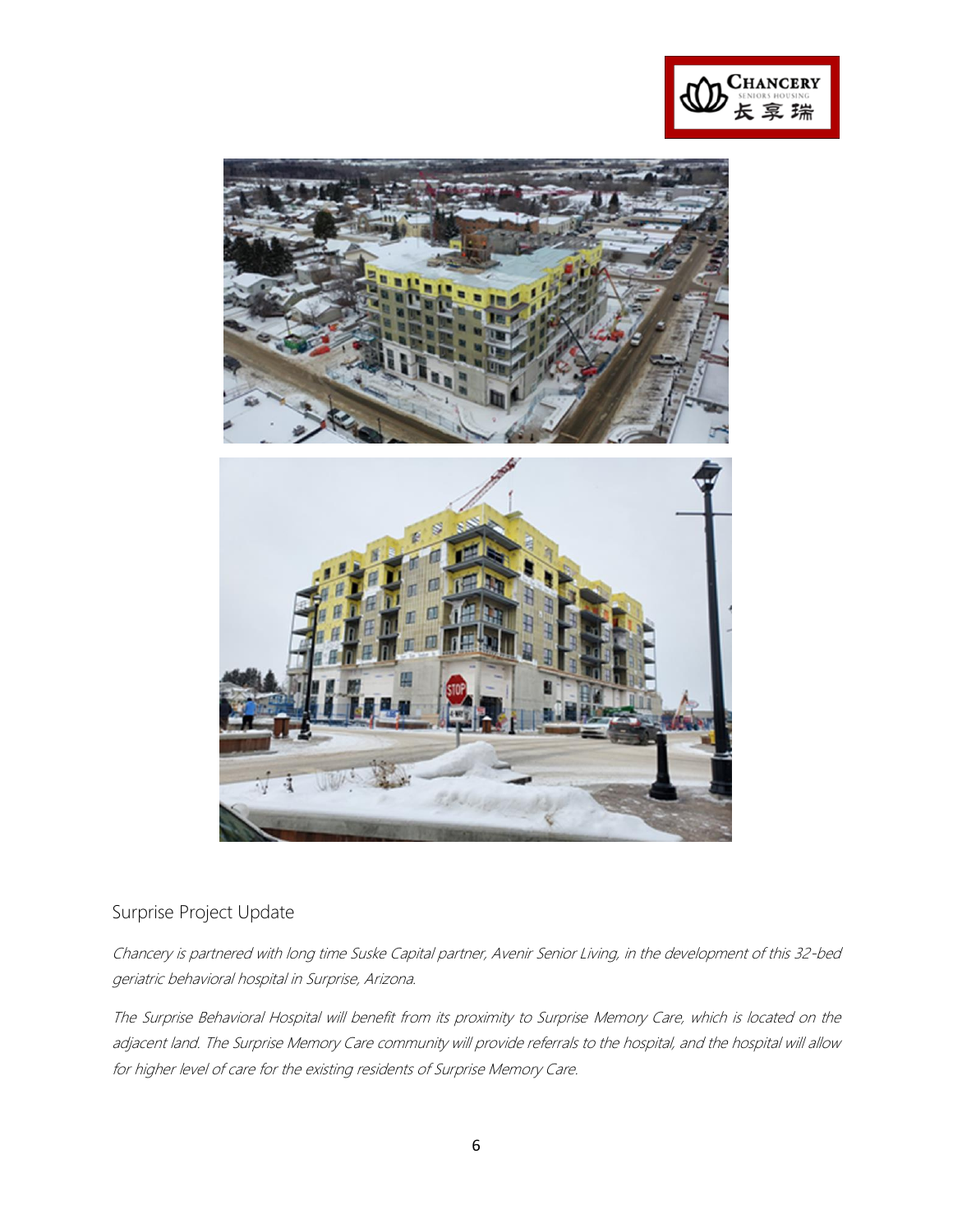



### Surprise Project Update

Chancery is partnered with long time Suske Capital partner, Avenir Senior Living, in the development of this 32-bed geriatric behavioral hospital in Surprise, Arizona.

The Surprise Behavioral Hospital will benefit from its proximity to Surprise Memory Care, which is located on the adjacent land. The Surprise Memory Care community will provide referrals to the hospital, and the hospital will allow for higher level of care for the existing residents of Surprise Memory Care.